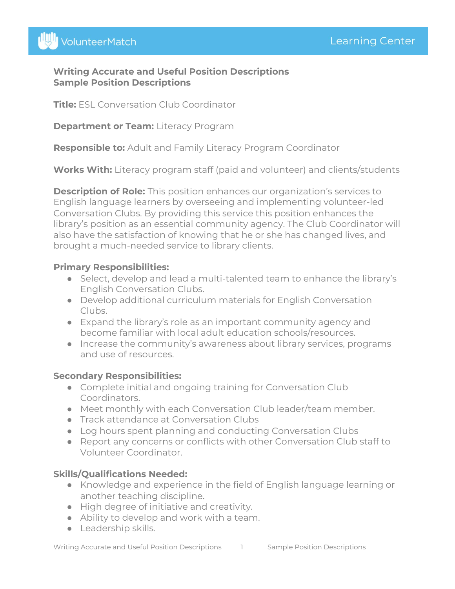#### **Writing Accurate and Useful Position Descriptions Sample Position Descriptions**

**Title:** FSL Conversation Club Coordinator

#### **Department or Team:** Literacy Program

**Responsible to:** Adult and Family Literacy Program Coordinator

**Works With:** Literacy program staff (paid and volunteer) and clients/students

**Description of Role:** This position enhances our organization's services to English language learners by overseeing and implementing volunteer-led Conversation Clubs. By providing this service this position enhances the library's position as an essential community agency. The Club Coordinator will also have the satisfaction of knowing that he or she has changed lives, and brought a much-needed service to library clients.

#### **Primary Responsibilities:**

- Select, develop and lead a multi-talented team to enhance the library's English Conversation Clubs.
- Develop additional curriculum materials for English Conversation Clubs.
- Expand the library's role as an important community agency and become familiar with local adult education schools/resources.
- Increase the community's awareness about library services, programs and use of resources.

# **Secondary Responsibilities:**

- Complete initial and ongoing training for Conversation Club Coordinators.
- Meet monthly with each Conversation Club leader/team member.
- Track attendance at Conversation Clubs
- Log hours spent planning and conducting Conversation Clubs
- Report any concerns or conflicts with other Conversation Club staff to Volunteer Coordinator.

# **Skills/Qualifications Needed:**

- Knowledge and experience in the field of English language learning or another teaching discipline.
- High degree of initiative and creativity.
- Ability to develop and work with a team.
- Leadership skills.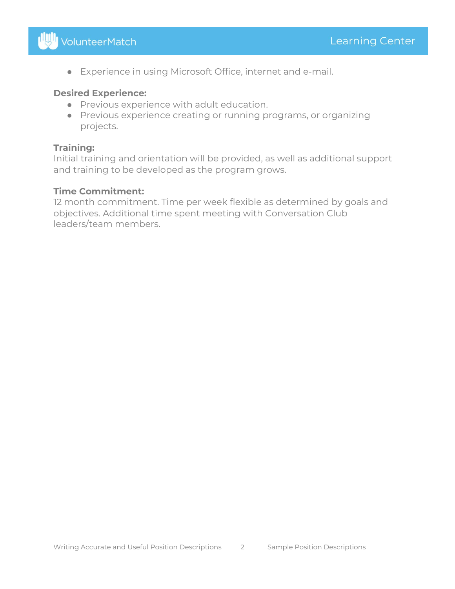# VolunteerMatch

● Experience in using Microsoft Office, internet and e-mail.

# **Desired Experience:**

- Previous experience with adult education.
- Previous experience creating or running programs, or organizing projects.

# **Training:**

Initial training and orientation will be provided, as well as additional support and training to be developed as the program grows.

# **Time Commitment:**

12 month commitment. Time per week flexible as determined by goals and objectives. Additional time spent meeting with Conversation Club leaders/team members.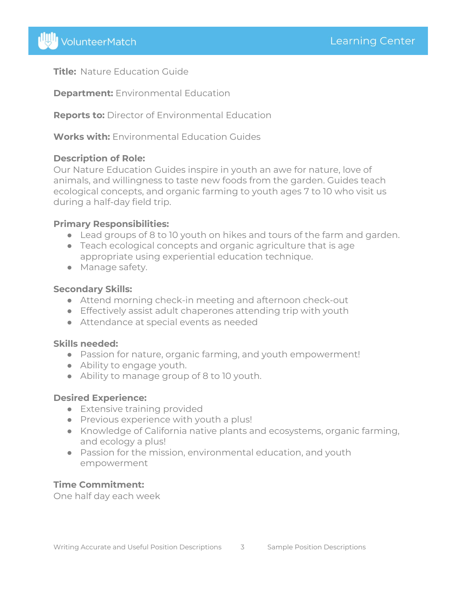**Title:** Nature Education Guide

**Department:** Environmental Education

**Reports to:** Director of Environmental Education

**Works with:** Environmental Education Guides

# **Description of Role:**

Our Nature Education Guides inspire in youth an awe for nature, love of animals, and willingness to taste new foods from the garden. Guides teach ecological concepts, and organic farming to youth ages 7 to 10 who visit us during a half-day field trip.

# **Primary Responsibilities:**

- Lead groups of 8 to 10 youth on hikes and tours of the farm and garden.
- Teach ecological concepts and organic agriculture that is age appropriate using experiential education technique.
- Manage safety.

# **Secondary Skills:**

- Attend morning check-in meeting and afternoon check-out
- Effectively assist adult chaperones attending trip with youth
- Attendance at special events as needed

# **Skills needed:**

- Passion for nature, organic farming, and youth empowerment!
- Ability to engage youth.
- Ability to manage group of 8 to 10 youth.

# **Desired Experience:**

- Extensive training provided
- Previous experience with youth a plus!
- Knowledge of California native plants and ecosystems, organic farming, and ecology a plus!
- Passion for the mission, environmental education, and youth empowerment

# **Time Commitment:**

One half day each week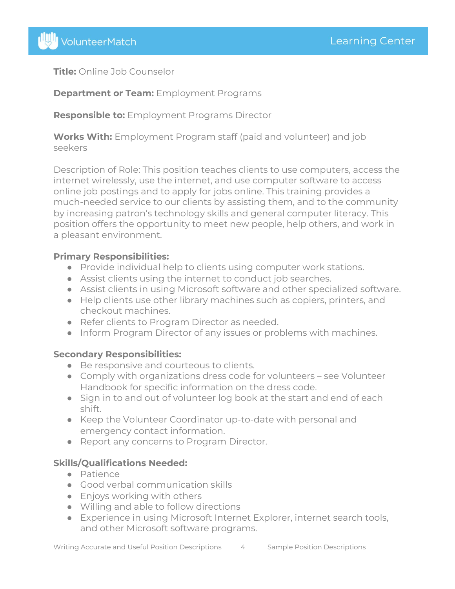**Title:** Online Job Counselor

# **Department or Team:** Employment Programs

**Responsible to:** Employment Programs Director

**Works With:** Employment Program staff (paid and volunteer) and job seekers

Description of Role: This position teaches clients to use computers, access the internet wirelessly, use the internet, and use computer software to access online job postings and to apply for jobs online. This training provides a much-needed service to our clients by assisting them, and to the community by increasing patron's technology skills and general computer literacy. This position offers the opportunity to meet new people, help others, and work in a pleasant environment.

#### **Primary Responsibilities:**

- Provide individual help to clients using computer work stations.
- Assist clients using the internet to conduct job searches.
- Assist clients in using Microsoft software and other specialized software.
- Help clients use other library machines such as copiers, printers, and checkout machines.
- Refer clients to Program Director as needed.
- Inform Program Director of any issues or problems with machines.

# **Secondary Responsibilities:**

- Be responsive and courteous to clients.
- Comply with organizations dress code for volunteers see Volunteer Handbook for specific information on the dress code.
- Sign in to and out of volunteer log book at the start and end of each shift.
- Keep the Volunteer Coordinator up-to-date with personal and emergency contact information.
- Report any concerns to Program Director.

# **Skills/Qualifications Needed:**

- Patience
- Good verbal communication skills
- Enjoys working with others
- Willing and able to follow directions
- Experience in using Microsoft Internet Explorer, internet search tools, and other Microsoft software programs.